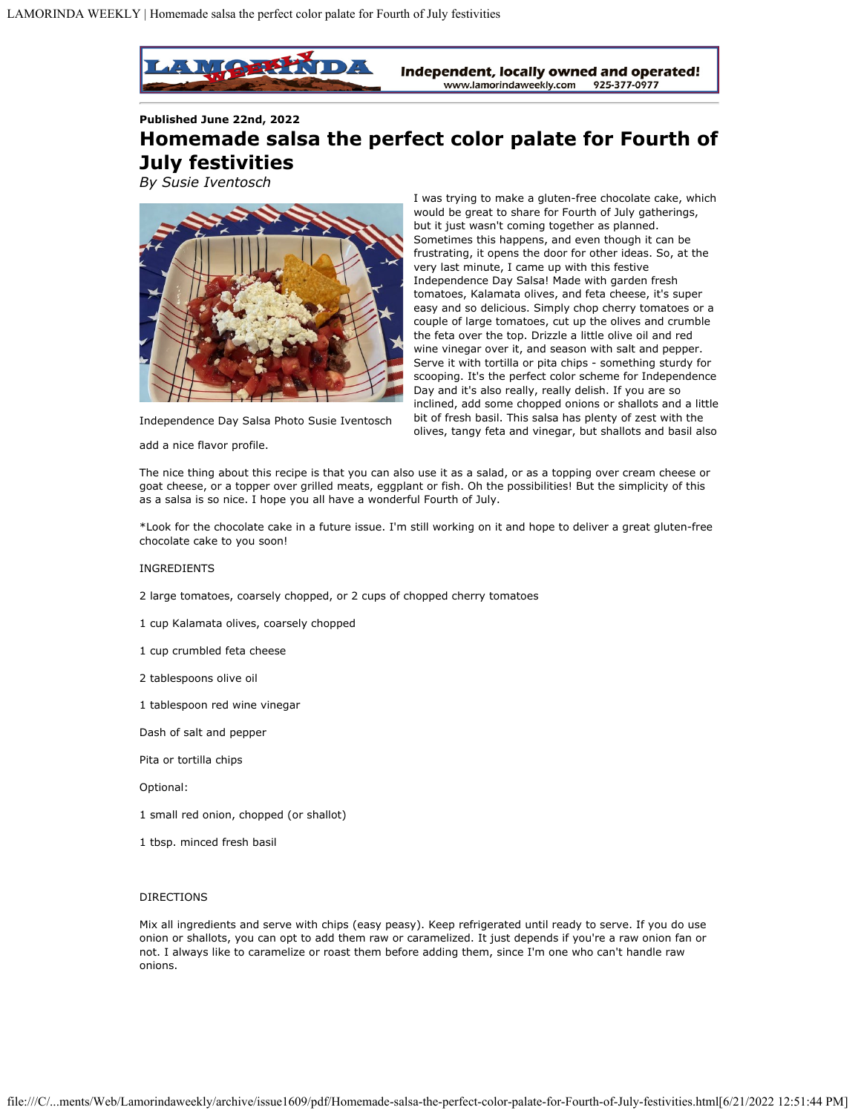

**Published June 22nd, 2022**

## **Homemade salsa the perfect color palate for Fourth of July festivities**

*By Susie Iventosch*



I was trying to make a gluten-free chocolate cake, which would be great to share for Fourth of July gatherings, but it just wasn't coming together as planned. Sometimes this happens, and even though it can be frustrating, it opens the door for other ideas. So, at the very last minute, I came up with this festive Independence Day Salsa! Made with garden fresh tomatoes, Kalamata olives, and feta cheese, it's super easy and so delicious. Simply chop cherry tomatoes or a couple of large tomatoes, cut up the olives and crumble the feta over the top. Drizzle a little olive oil and red wine vinegar over it, and season with salt and pepper. Serve it with tortilla or pita chips - something sturdy for scooping. It's the perfect color scheme for Independence Day and it's also really, really delish. If you are so inclined, add some chopped onions or shallots and a little bit of fresh basil. This salsa has plenty of zest with the olives, tangy feta and vinegar, but shallots and basil also

Independence Day Salsa Photo Susie Iventosch

add a nice flavor profile.

The nice thing about this recipe is that you can also use it as a salad, or as a topping over cream cheese or goat cheese, or a topper over grilled meats, eggplant or fish. Oh the possibilities! But the simplicity of this as a salsa is so nice. I hope you all have a wonderful Fourth of July.

\*Look for the chocolate cake in a future issue. I'm still working on it and hope to deliver a great gluten-free chocolate cake to you soon!

## INGREDIENTS

2 large tomatoes, coarsely chopped, or 2 cups of chopped cherry tomatoes

1 cup Kalamata olives, coarsely chopped

- 1 cup crumbled feta cheese
- 2 tablespoons olive oil
- 1 tablespoon red wine vinegar

Dash of salt and pepper

Pita or tortilla chips

Optional:

- 1 small red onion, chopped (or shallot)
- 1 tbsp. minced fresh basil

## DIRECTIONS

Mix all ingredients and serve with chips (easy peasy). Keep refrigerated until ready to serve. If you do use onion or shallots, you can opt to add them raw or caramelized. It just depends if you're a raw onion fan or not. I always like to caramelize or roast them before adding them, since I'm one who can't handle raw onions.